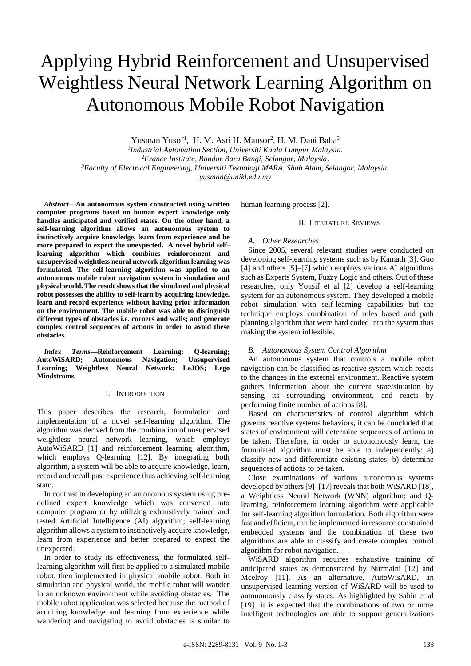# Applying Hybrid Reinforcement and Unsupervised Weightless Neural Network Learning Algorithm on Autonomous Mobile Robot Navigation

Yusman Yusof<sup>1</sup>, H. M. Asri H. Mansor<sup>2</sup>, H. M. Dani Baba<sup>3</sup>

*1 Industrial Automation Section, Universiti Kuala Lumpur Malaysia.*

*<sup>2</sup>France Institute, Bandar Baru Bangi, Selangor, Malaysia.*

*<sup>3</sup>Faculty of Electrical Engineering, Universiti Teknologi MARA, Shah Alam, Selangor, Malaysia.*

*yusman@unikl.edu.my*

*Abstract***—An autonomous system constructed using written computer programs based on human expert knowledge only handles anticipated and verified states. On the other hand, a self-learning algorithm allows an autonomous system to instinctively acquire knowledge, learn from experience and be more prepared to expect the unexpected. A novel hybrid selflearning algorithm which combines reinforcement and unsupervised weightless neural network algorithm learning was formulated. The self-learning algorithm was applied to an autonomous mobile robot navigation system in simulation and physical world. The result shows that the simulated and physical robot possesses the ability to self-learn by acquiring knowledge, learn and record experience without having prior information on the environment. The mobile robot was able to distinguish different types of obstacles i.e. corners and walls; and generate complex control sequences of actions in order to avoid these obstacles.**

*Index Terms***—Reinforcement Learning; Q-learning; AutoWiSARD; Autonomous Navigation; Unsupervised Learning; Weightless Neural Network; LeJOS; Lego Mindstroms.**

# I. INTRODUCTION

This paper describes the research, formulation and implementation of a novel self-learning algorithm. The algorithm was derived from the combination of unsupervised weightless neural network learning, which employs AutoWiSARD [1] and reinforcement learning algorithm, which employs Q-learning [12]. By integrating both algorithm, a system will be able to acquire knowledge, learn, record and recall past experience thus achieving self-learning state.

In contrast to developing an autonomous system using predefined expert knowledge which was converted into computer program or by utilizing exhaustively trained and tested Artificial Intelligence (AI) algorithm; self-learning algorithm allows a system to instinctively acquire knowledge, learn from experience and better prepared to expect the unexpected.

In order to study its effectiveness, the formulated selflearning algorithm will first be applied to a simulated mobile robot, then implemented in physical mobile robot. Both in simulation and physical world, the mobile robot will wander in an unknown environment while avoiding obstacles. The mobile robot application was selected because the method of acquiring knowledge and learning from experience while wandering and navigating to avoid obstacles is similar to human learning process [2].

## II. LITERATURE REVIEWS

# *A. Other Researches*

Since 2005, several relevant studies were conducted on developing self-learning systems such as by Kamath [3], Guo [4] and others [5]–[7] which employs various AI algorithms such as Experts System, Fuzzy Logic and others. Out of these researches, only Yousif et al [2] develop a self-learning system for an autonomous system. They developed a mobile robot simulation with self-learning capabilities but the technique employs combination of rules based and path planning algorithm that were hard coded into the system thus making the system inflexible.

# *B. Autonomous System Control Algorithm*

An autonomous system that controls a mobile robot navigation can be classified as reactive system which reacts to the changes in the external environment. Reactive system gathers information about the current state/situation by sensing its surrounding environment, and reacts by performing finite number of actions [8].

Based on characteristics of control algorithm which governs reactive systems behaviors, it can be concluded that states of environment will determine sequences of actions to be taken. Therefore, in order to autonomously learn, the formulated algorithm must be able to independently: a) classify new and differentiate existing states; b) determine sequences of actions to be taken.

Close examinations of various autonomous systems developed by others[9]–[17] reveals that both WiSARD [18], a Weightless Neural Network (WNN) algorithm; and Qlearning, reinforcement learning algorithm were applicable for self-learning algorithm formulation. Both algorithm were fast and efficient, can be implemented in resource constrained embedded systems and the combination of these two algorithms are able to classify and create complex control algorithm for robot navigation.

WiSARD algorithm requires exhaustive training of anticipated states as demonstrated by Nurmaini [12] and Mcelroy [11]. As an alternative, AutoWisARD, an unsupervised learning version of WiSARD will be used to autonomously classify states. As highlighted by Sahin et al [19] it is expected that the combinations of two or more intelligent technologies are able to support generalizations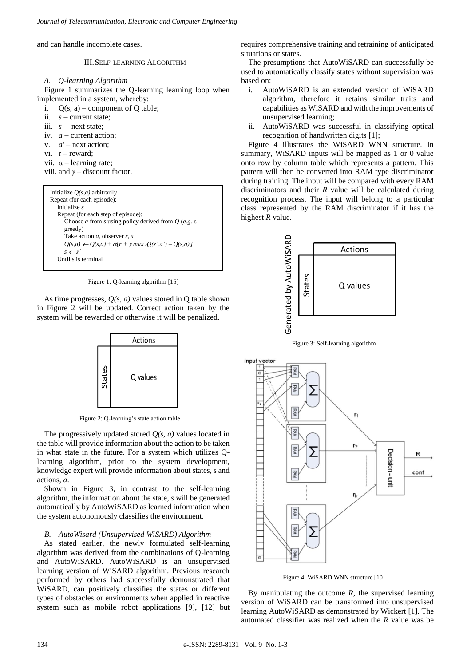and can handle incomplete cases.

III.SELF-LEARNING ALGORITHM

## *A. Q-learning Algorithm*

Figure 1 summarizes the Q-learning learning loop when implemented in a system, whereby:

i.  $Q(s, a)$  – component of Q table;

- ii. *s* current state;
- iii. *s'* next state;
- iv. *a* current action;
- v.  $a'$  next action:
- vi.  $r$  reward:
- vii.  $\alpha$  learning rate;

viii. and *γ* – discount factor.

```
Initialize Q(s,a) arbitrarily
Repeat (for each episode):
  Initialize s
   Repeat (for each step of episode):
      Choose a from s using policy derived from Q (e.g. ε-
      greedy)
      Take action a, observer r, s'
      Q(s,a) \leftarrow Q(s,a) + \alpha[r + \gamma max_a Q(s',a') - Q(s,a)]s  s'
  Until s is terminal
```
Figure 1: Q-learning algorithm [15]

As time progresses, *Q(s, a)* values stored in Q table shown in Figure 2 will be updated. Correct action taken by the system will be rewarded or otherwise it will be penalized.



Figure 2: Q-learning's state action table

The progressively updated stored *Q(s, a)* values located in the table will provide information about the action to be taken in what state in the future. For a system which utilizes Qlearning algorithm, prior to the system development, knowledge expert will provide information about states, s and actions, *a*.

Shown in Figure 3, in contrast to the self-learning algorithm, the information about the state, *s* will be generated automatically by AutoWiSARD as learned information when the system autonomously classifies the environment.

#### *B. AutoWisard (Unsupervised WiSARD) Algorithm*

As stated earlier, the newly formulated self-learning algorithm was derived from the combinations of Q-learning and AutoWiSARD. AutoWiSARD is an unsupervised learning version of WiSARD algorithm. Previous research performed by others had successfully demonstrated that WiSARD, can positively classifies the states or different types of obstacles or environments when applied in reactive system such as mobile robot applications [9], [12] but

requires comprehensive training and retraining of anticipated situations or states.

The presumptions that AutoWiSARD can successfully be used to automatically classify states without supervision was based on:

- i. AutoWiSARD is an extended version of WiSARD algorithm, therefore it retains similar traits and capabilities as WiSARD and with the improvements of unsupervised learning;
- ii. AutoWiSARD was successful in classifying optical recognition of handwritten digits [1];

Figure 4 illustrates the WiSARD WNN structure. In summary, WiSARD inputs will be mapped as 1 or 0 value onto row by column table which represents a pattern. This pattern will then be converted into RAM type discriminator during training. The input will be compared with every RAM discriminators and their *R* value will be calculated during recognition process. The input will belong to a particular class represented by the RAM discriminator if it has the highest *R* value.







Figure 4: WiSARD WNN structure [10]

By manipulating the outcome *R*, the supervised learning version of WiSARD can be transformed into unsupervised learning AutoWiSARD as demonstrated by Wickert [1]. The automated classifier was realized when the *R* value was be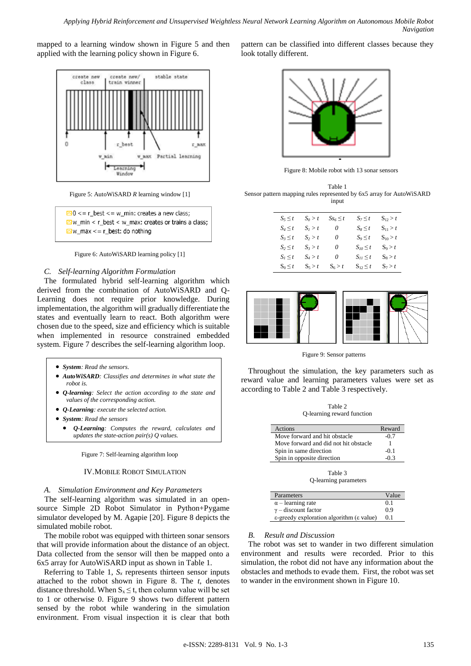mapped to a learning window shown in Figure 5 and then applied with the learning policy shown in Figure 6.



Figure 5: AutoWiSARD *R* learning window [1]

| $\triangle$ 0 < = r_best < = w_min: creates a new class;  |
|-----------------------------------------------------------|
| $\Box$ w min < r best < w max: creates or trains a class; |
| $\Delta w$ max $\leq r$ best: do nothing                  |

#### Figure 6: AutoWiSARD learning policy [1]

# *C. Self-learning Algorithm Formulation*

The formulated hybrid self-learning algorithm which derived from the combination of AutoWiSARD and Q-Learning does not require prior knowledge. During implementation, the algorithm will gradually differentiate the states and eventually learn to react. Both algorithm were chosen due to the speed, size and efficiency which is suitable when implemented in resource constrained embedded system. Figure 7 describes the self-learning algorithm loop.

- *System: Read the sensors.*
- *AutoWiSARD: Classifies and determines in what state the robot is.*
- *Q-learning: Select the action according to the state and values of the corresponding action.*
- *Q-Learning: execute the selected action.*
- *System: Read the sensors*
- *Q-Learning: Computes the reward, calculates and updates the state-action pair(s) Q values.*

Figure 7: Self-learning algorithm loop

## IV.MOBILE ROBOT SIMULATION

#### *A. Simulation Environment and Key Parameters*

The self-learning algorithm was simulated in an opensource Simple 2D Robot Simulator in Python+Pygame simulator developed by M. Agapie [20]. Figure 8 depicts the simulated mobile robot.

The mobile robot was equipped with thirteen sonar sensors that will provide information about the distance of an object. Data collected from the sensor will then be mapped onto a 6x5 array for AutoWiSARD input as shown in Table 1.

Referring to Table 1,  $S_x$  represents thirteen sensor inputs attached to the robot shown in Figure 8. The *t*, denotes distance threshold. When  $S_x \le t$ , then column value will be set to 1 or otherwise 0. Figure 9 shows two different pattern sensed by the robot while wandering in the simulation environment. From visual inspection it is clear that both

pattern can be classified into different classes because they look totally different.



Figure 8: Mobile robot with 13 sonar sensors

Table 1 Sensor pattern mapping rules represented by 6x5 array for AutoWiSARD input

| $S_5 \leq t$ | $S_0 > t$ | $Ss_6 \leq t$ | $S_7 \leq t$    | $S_{12} > t$ |
|--------------|-----------|---------------|-----------------|--------------|
| $S_4 \leq t$ | $S_I > t$ | $\theta$      | $S_8 \leq t$    | $S_{11} > t$ |
| $S_3 \leq t$ | $S_2 > t$ | $\theta$      | $S_9 \leq t$    | $S_{10} > t$ |
| $S_2 \leq t$ | $S_3 > t$ | $\theta$      | $S_{I0} \leq t$ | $S_9 > t$    |
| $S_I \leq t$ | $S_4 > t$ | 0             | $S_{II} \leq t$ | $S_8 > t$    |
| $S_0 \leq t$ | $S_5 > t$ | $S_6 > t$     | $S_{12} \leq t$ | $S_7 > t$    |



Figure 9: Sensor patterns

Throughout the simulation, the key parameters such as reward value and learning parameters values were set as according to Table 2 and Table 3 respectively.

Table 2 Q-learning reward function

| Actions                               | Reward |
|---------------------------------------|--------|
| Move forward and hit obstacle         | $-0.7$ |
| Move forward and did not hit obstacle |        |
| Spin in same direction                | $-0.1$ |
| Spin in opposite direction            | -03    |
|                                       |        |

Table 3 Q-learning parameters

| Parameters                                                   | Value |
|--------------------------------------------------------------|-------|
| $\alpha$ – learning rate                                     | 0.1   |
| $\gamma$ – discount factor                                   | 0.9   |
| $\epsilon$ -greedy exploration algorithm ( $\epsilon$ value) | 0.1   |

#### *B. Result and Discussion*

The robot was set to wander in two different simulation environment and results were recorded. Prior to this simulation, the robot did not have any information about the obstacles and methods to evade them. First, the robot was set to wander in the environment shown in Figure 10.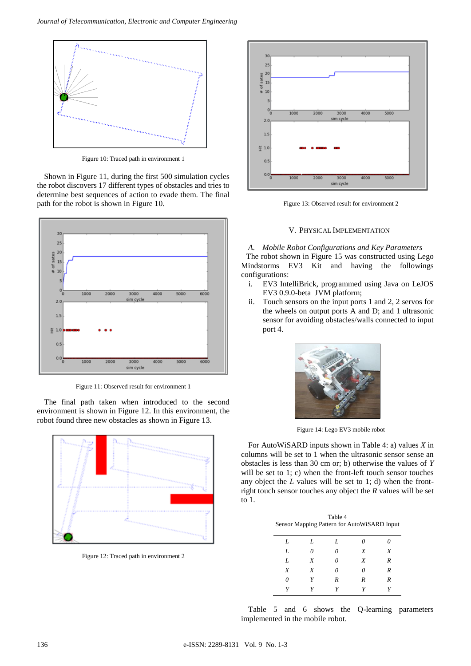

Figure 10: Traced path in environment 1

Shown in Figure 11, during the first 500 simulation cycles the robot discovers 17 different types of obstacles and tries to determine best sequences of action to evade them. The final path for the robot is shown in Figure 10.



Figure 11: Observed result for environment 1

The final path taken when introduced to the second environment is shown in Figure 12. In this environment, the robot found three new obstacles as shown in Figure 13.



Figure 12: Traced path in environment 2



Figure 13: Observed result for environment 2

## V. PHYSICAL IMPLEMENTATION

*A. Mobile Robot Configurations and Key Parameters* The robot shown in Figure 15 was constructed using Lego Mindstorms EV3 Kit and having the followings configurations:

- i. EV3 IntelliBrick, programmed using Java on LeJOS EV3 0.9.0-beta JVM platform;
- ii. Touch sensors on the input ports 1 and 2, 2 servos for the wheels on output ports A and D; and 1 ultrasonic sensor for avoiding obstacles/walls connected to input port 4.



Figure 14: Lego EV3 mobile robot

For AutoWiSARD inputs shown in Table 4: a) values *X* in columns will be set to 1 when the ultrasonic sensor sense an obstacles is less than 30 cm or; b) otherwise the values of *Y*  will be set to 1; c) when the front-left touch sensor touches any object the *L* values will be set to 1; d) when the frontright touch sensor touches any object the *R* values will be set to 1.

| Table 4                                     |  |  |
|---------------------------------------------|--|--|
| Sensor Mapping Pattern for AutoWiSARD Input |  |  |

| L | L | L        | 0 | 0 |
|---|---|----------|---|---|
| L | 0 | 0        | X | X |
| L | X | $\theta$ | X | R |
| X | X | 0        | 0 | R |
| 0 | Y | R        | R | R |
| Y | Y | Y        | Y | Y |

Table 5 and 6 shows the Q-learning parameters implemented in the mobile robot.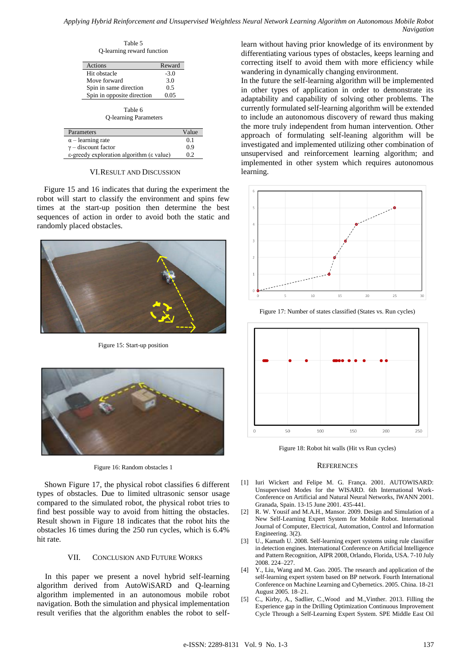#### *Applying Hybrid Reinforcement and Unsupervised Weightless Neural Network Learning Algorithm on Autonomous Mobile Robot Navigation*

Table 5 Q-learning reward function

| Reward |
|--------|
| $-3.0$ |
| 3.0    |
| 0.5    |
| 0.05   |
|        |

Table 6 Q-learning Parameters

| Parameters                                                   | Value |
|--------------------------------------------------------------|-------|
| $\alpha$ – learning rate                                     | 0.1   |
| $\gamma$ – discount factor                                   | 0.9   |
| $\epsilon$ -greedy exploration algorithm ( $\epsilon$ value) | 0.2   |

## VI.RESULT AND DISCUSSION

Figure 15 and 16 indicates that during the experiment the robot will start to classify the environment and spins few times at the start-up position then determine the best sequences of action in order to avoid both the static and randomly placed obstacles.



Figure 15: Start-up position



Figure 16: Random obstacles 1

Shown Figure 17, the physical robot classifies 6 different types of obstacles. Due to limited ultrasonic sensor usage compared to the simulated robot, the physical robot tries to find best possible way to avoid from hitting the obstacles. Result shown in Figure 18 indicates that the robot hits the obstacles 16 times during the 250 run cycles, which is 6.4% hit rate.

# VII. CONCLUSION AND FUTURE WORKS

In this paper we present a novel hybrid self-learning algorithm derived from AutoWiSARD and Q-learning algorithm implemented in an autonomous mobile robot navigation. Both the simulation and physical implementation result verifies that the algorithm enables the robot to selflearn without having prior knowledge of its environment by differentiating various types of obstacles, keeps learning and correcting itself to avoid them with more efficiency while wandering in dynamically changing environment.

In the future the self-learning algorithm will be implemented in other types of application in order to demonstrate its adaptability and capability of solving other problems. The currently formulated self-learning algorithm will be extended to include an autonomous discovery of reward thus making the more truly independent from human intervention. Other approach of formulating self-leaning algorithm will be investigated and implemented utilizing other combination of unsupervised and reinforcement learning algorithm; and implemented in other system which requires autonomous learning.



Figure 17: Number of states classified (States vs. Run cycles)



Figure 18: Robot hit walls (Hit vs Run cycles)

#### **REFERENCES**

- [1] Iuri Wickert and Felipe M. G. França. 2001. AUTOWISARD: Unsupervised Modes for the WISARD. 6th International Work-Conference on Artificial and Natural Neural Networks, IWANN 2001. Granada, Spain. 13-15 June 2001. 435-441.
- [2] R. W. Yousif and M.A.H., Mansor. 2009. Design and Simulation of a New Self-Learning Expert System for Mobile Robot. International Journal of Computer, Electrical, Automation, Control and Information Engineering. 3(2).
- [3] U., Kamath U. 2008. Self-learning expert systems using rule classifier in detection engines. International Conference on Artificial Intelligence and Pattern Recognition, AIPR 2008, Orlando, Florida, USA. 7-10 July 2008. 224–227.
- [4] Y., Liu, Wang and M. Guo. 2005. The research and application of the self-learning expert system based on BP network. Fourth International Conference on Machine Learning and Cybernetics. 2005. China. 18-21 August 2005. 18–21.
- [5] C., Kirby, A., Sadlier, C.,Wood and M.,Vinther. 2013. Filling the Experience gap in the Drilling Optimization Continuous Improvement Cycle Through a Self-Learning Expert System. SPE Middle East Oil